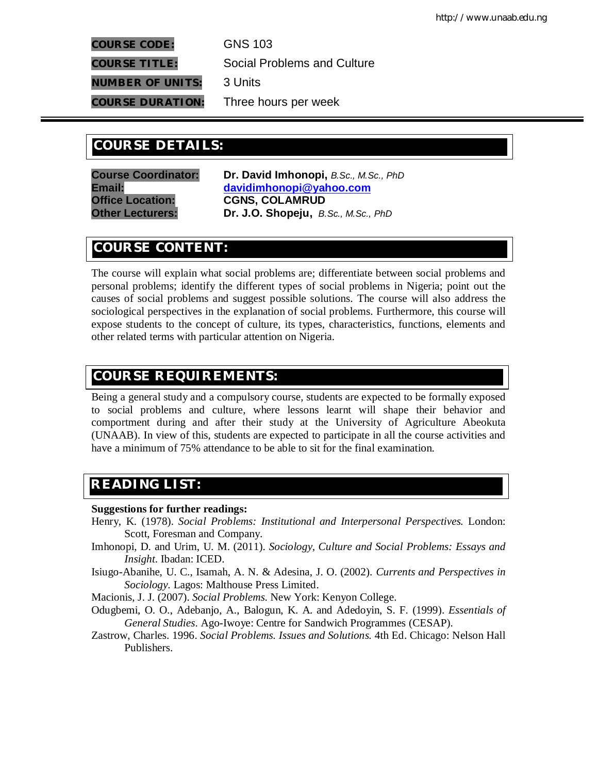**COURSE CODE:** GNS 103

**COURSE TITLE:** Social Problems and Culture

**NUMBER OF UNITS:** 3 Units

**COURSE DURATION:** Three hours per week

# **COURSE DETAILS: COURSE DETAILS:**

**Course Coordinator: Dr. David Imhonopi,** *B.Sc., M.Sc., PhD* **Office Location: CGNS, COLAMRUD**

**Email: davidimhonopi@yahoo.com Other Lecturers: Dr. J.O. Shopeju,** *B.Sc., M.Sc., PhD*

# **COURSE CONTENT:**

The course will explain what social problems are; differentiate between social problems and personal problems; identify the different types of social problems in Nigeria; point out the causes of social problems and suggest possible solutions. The course will also address the sociological perspectives in the explanation of social problems. Furthermore, this course will expose students to the concept of culture, its types, characteristics, functions, elements and other related terms with particular attention on Nigeria.

# **COURSE REQUIREMENTS:**

Being a general study and a compulsory course, students are expected to be formally exposed to social problems and culture, where lessons learnt will shape their behavior and comportment during and after their study at the University of Agriculture Abeokuta (UNAAB). In view of this, students are expected to participate in all the course activities and have a minimum of 75% attendance to be able to sit for the final examination.

# **READING LIST:**

## **Suggestions for further readings:**

- Henry, K. (1978). *Social Problems: Institutional and Interpersonal Perspectives.* London: Scott, Foresman and Company.
- Imhonopi, D. and Urim, U. M. (2011). *Sociology, Culture and Social Problems: Essays and Insight*. Ibadan: ICED.
- Isiugo-Abanihe, U. C., Isamah, A. N. & Adesina, J. O. (2002). *Currents and Perspectives in Sociology.* Lagos: Malthouse Press Limited.

Macionis, J. J. (2007). *Social Problems.* New York: Kenyon College.

- Odugbemi, O. O., Adebanjo, A., Balogun, K. A. and Adedoyin, S. F. (1999). *Essentials of General Studies*. Ago-Iwoye: Centre for Sandwich Programmes (CESAP).
- Zastrow, Charles. 1996. *Social Problems. Issues and Solutions.* 4th Ed. Chicago: Nelson Hall Publishers.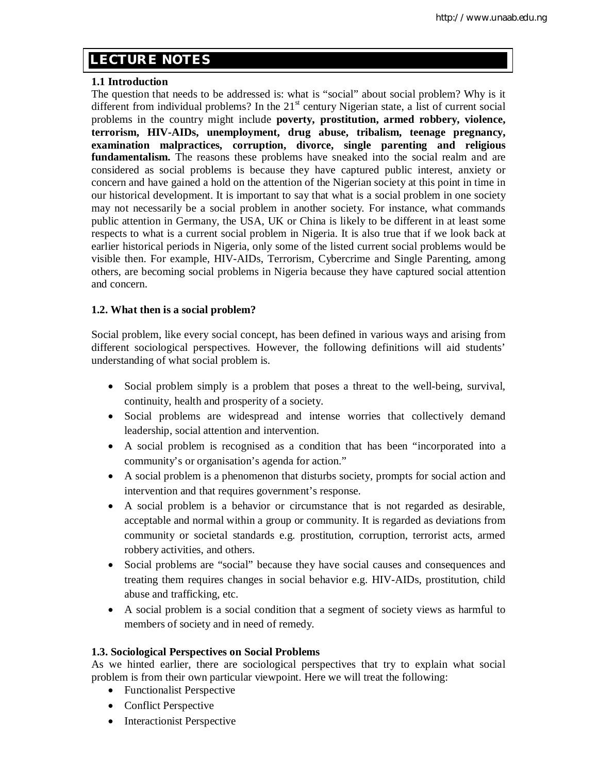# **E LECTURE NOTES**

## **1.1 Introduction**

The question that needs to be addressed is: what is "social" about social problem? Why is it different from individual problems? In the  $21<sup>st</sup>$  century Nigerian state, a list of current social problems in the country might include **poverty, prostitution, armed robbery, violence, terrorism, HIV-AIDs, unemployment, drug abuse, tribalism, teenage pregnancy, examination malpractices, corruption, divorce, single parenting and religious fundamentalism.** The reasons these problems have sneaked into the social realm and are considered as social problems is because they have captured public interest, anxiety or concern and have gained a hold on the attention of the Nigerian society at this point in time in our historical development. It is important to say that what is a social problem in one society may not necessarily be a social problem in another society. For instance, what commands public attention in Germany, the USA, UK or China is likely to be different in at least some respects to what is a current social problem in Nigeria. It is also true that if we look back at earlier historical periods in Nigeria, only some of the listed current social problems would be visible then. For example, HIV-AIDs, Terrorism, Cybercrime and Single Parenting, among others, are becoming social problems in Nigeria because they have captured social attention and concern.

## **1.2. What then is a social problem?**

Social problem, like every social concept, has been defined in various ways and arising from different sociological perspectives. However, the following definitions will aid students' understanding of what social problem is.

- Social problem simply is a problem that poses a threat to the well-being, survival, continuity, health and prosperity of a society.
- Social problems are widespread and intense worries that collectively demand leadership, social attention and intervention.
- A social problem is recognised as a condition that has been "incorporated into a community's or organisation's agenda for action."
- A social problem is a phenomenon that disturbs society, prompts for social action and intervention and that requires government's response.
- A social problem is a behavior or circumstance that is not regarded as desirable, acceptable and normal within a group or community. It is regarded as deviations from community or societal standards e.g. prostitution, corruption, terrorist acts, armed robbery activities, and others.
- Social problems are "social" because they have social causes and consequences and treating them requires changes in social behavior e.g. HIV-AIDs, prostitution, child abuse and trafficking, etc.
- A social problem is a social condition that a segment of society views as harmful to members of society and in need of remedy.

## **1.3. Sociological Perspectives on Social Problems**

As we hinted earlier, there are sociological perspectives that try to explain what social problem is from their own particular viewpoint. Here we will treat the following:

- Functionalist Perspective
- Conflict Perspective
- Interactionist Perspective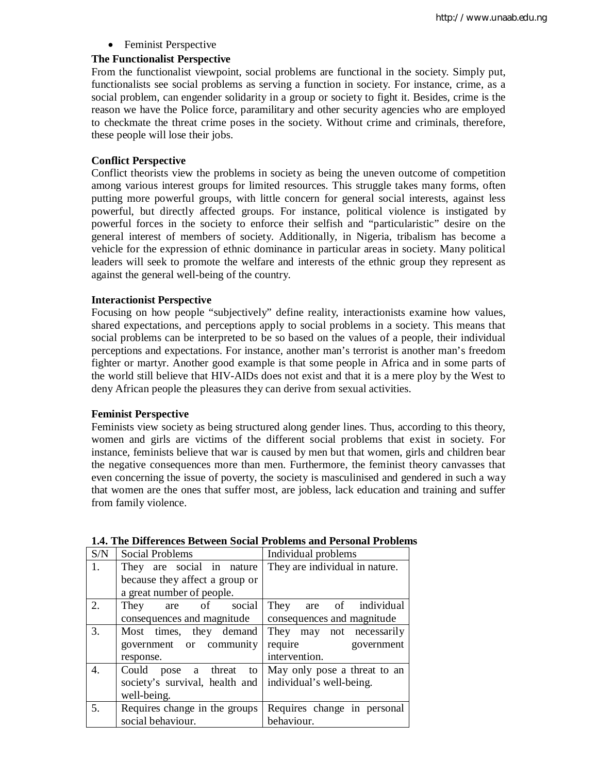• Feminist Perspective

#### **The Functionalist Perspective**

From the functionalist viewpoint, social problems are functional in the society. Simply put, functionalists see social problems as serving a function in society. For instance, crime, as a social problem, can engender solidarity in a group or society to fight it. Besides, crime is the reason we have the Police force, paramilitary and other security agencies who are employed to checkmate the threat crime poses in the society. Without crime and criminals, therefore, these people will lose their jobs.

#### **Conflict Perspective**

Conflict theorists view the problems in society as being the uneven outcome of competition among various interest groups for limited resources. This struggle takes many forms, often putting more powerful groups, with little concern for general social interests, against less powerful, but directly affected groups. For instance, political violence is instigated by powerful forces in the society to enforce their selfish and "particularistic" desire on the general interest of members of society. Additionally, in Nigeria, tribalism has become a vehicle for the expression of ethnic dominance in particular areas in society. Many political leaders will seek to promote the welfare and interests of the ethnic group they represent as against the general well-being of the country.

#### **Interactionist Perspective**

Focusing on how people "subjectively" define reality, interactionists examine how values, shared expectations, and perceptions apply to social problems in a society. This means that social problems can be interpreted to be so based on the values of a people, their individual perceptions and expectations. For instance, another man's terrorist is another man's freedom fighter or martyr. Another good example is that some people in Africa and in some parts of the world still believe that HIV-AIDs does not exist and that it is a mere ploy by the West to deny African people the pleasures they can derive from sexual activities.

#### **Feminist Perspective**

Feminists view society as being structured along gender lines. Thus, according to this theory, women and girls are victims of the different social problems that exist in society. For instance, feminists believe that war is caused by men but that women, girls and children bear the negative consequences more than men. Furthermore, the feminist theory canvasses that even concerning the issue of poverty, the society is masculinised and gendered in such a way that women are the ones that suffer most, are jobless, lack education and training and suffer from family violence.

| S/N | Social Problems                                           | Individual problems                                 |
|-----|-----------------------------------------------------------|-----------------------------------------------------|
| 1.  | They are social in nature                                 | They are individual in nature.                      |
|     | because they affect a group or                            |                                                     |
|     | a great number of people.                                 |                                                     |
| 2.  | are of social<br>They                                     | They are of individual                              |
|     | consequences and magnitude                                | consequences and magnitude                          |
| 3.  | Most times, they demand                                   | They may not necessarily                            |
|     | government or community                                   | require<br>government                               |
|     | response.                                                 | intervention.                                       |
| 4.  |                                                           | Could pose a threat to May only pose a threat to an |
|     | society's survival, health and   individual's well-being. |                                                     |
|     | well-being.                                               |                                                     |
| 5.  | Requires change in the groups                             | Requires change in personal                         |
|     | social behaviour.                                         | behaviour.                                          |

#### **1.4. The Differences Between Social Problems and Personal Problems**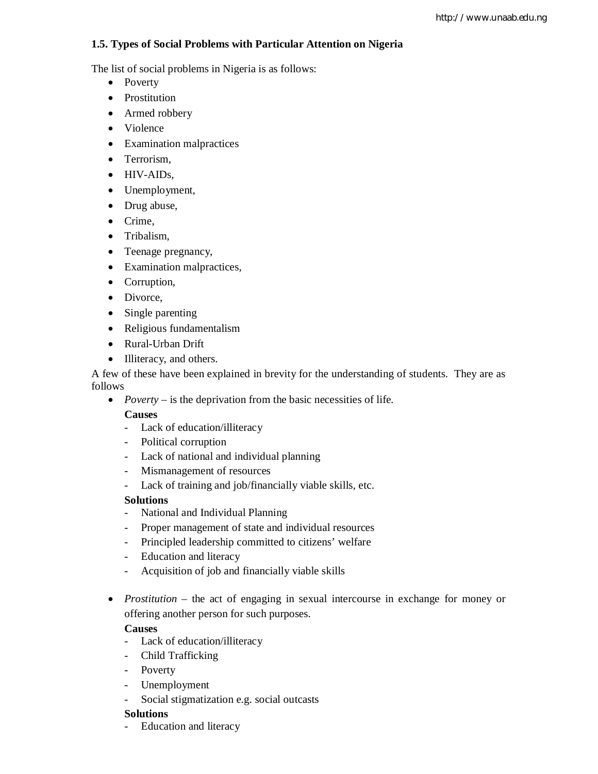# **1.5. Types of Social Problems with Particular Attention on Nigeria**

The list of social problems in Nigeria is as follows:

- Poverty
- Prostitution
- Armed robbery
- Violence
- Examination malpractices
- Terrorism,
- HIV-AIDs,
- Unemployment,
- Drug abuse,
- Crime,
- Tribalism,
- Teenage pregnancy,
- Examination malpractices,
- Corruption,
- Divorce,
- Single parenting
- Religious fundamentalism
- Rural-Urban Drift
- Illiteracy, and others.

A few of these have been explained in brevity for the understanding of students. They are as follows

• *Poverty* – is the deprivation from the basic necessities of life.

# **Causes**

- Lack of education/illiteracy
- Political corruption
- Lack of national and individual planning
- Mismanagement of resources
- Lack of training and job/financially viable skills, etc.

# **Solutions**

- National and Individual Planning
- Proper management of state and individual resources
- Principled leadership committed to citizens' welfare
- Education and literacy
- Acquisition of job and financially viable skills
- *Prostitution* the act of engaging in sexual intercourse in exchange for money or offering another person for such purposes.

# **Causes**

- Lack of education/illiteracy
- Child Trafficking
- Poverty
- Unemployment
- Social stigmatization e.g. social outcasts

# **Solutions**

- Education and literacy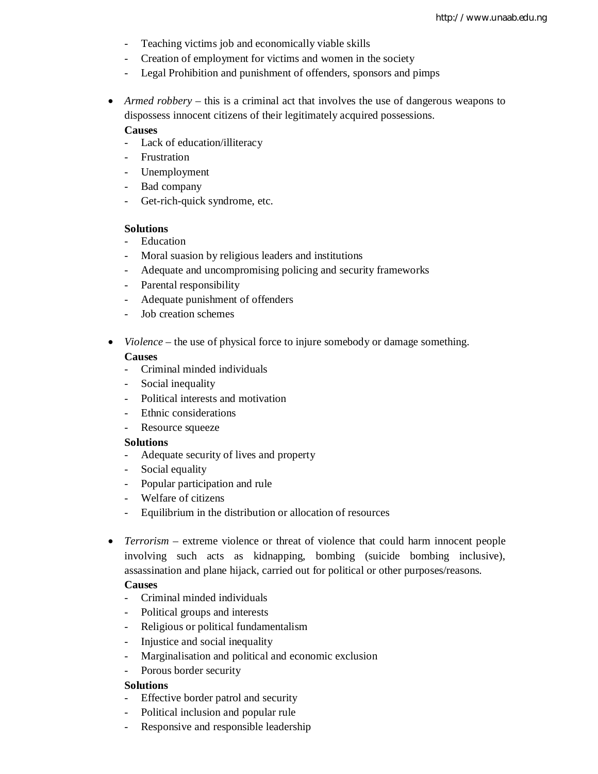- Teaching victims job and economically viable skills
- Creation of employment for victims and women in the society
- Legal Prohibition and punishment of offenders, sponsors and pimps
- *Armed robbery* this is a criminal act that involves the use of dangerous weapons to dispossess innocent citizens of their legitimately acquired possessions.

## **Causes**

- Lack of education/illiteracy
- Frustration
- Unemployment
- Bad company
- Get-rich-quick syndrome, etc.

#### **Solutions**

- Education
- Moral suasion by religious leaders and institutions
- Adequate and uncompromising policing and security frameworks
- Parental responsibility
- Adequate punishment of offenders
- Job creation schemes
- *Violence* the use of physical force to injure somebody or damage something.

#### **Causes**

- Criminal minded individuals
- Social inequality
- Political interests and motivation
- Ethnic considerations
- Resource squeeze

## **Solutions**

- Adequate security of lives and property
- Social equality
- Popular participation and rule
- Welfare of citizens
- Equilibrium in the distribution or allocation of resources
- *Terrorism* extreme violence or threat of violence that could harm innocent people involving such acts as kidnapping, bombing (suicide bombing inclusive), assassination and plane hijack, carried out for political or other purposes/reasons.

## **Causes**

- Criminal minded individuals
- Political groups and interests
- Religious or political fundamentalism
- Injustice and social inequality
- Marginalisation and political and economic exclusion
- Porous border security

## **Solutions**

- Effective border patrol and security
- Political inclusion and popular rule
- Responsive and responsible leadership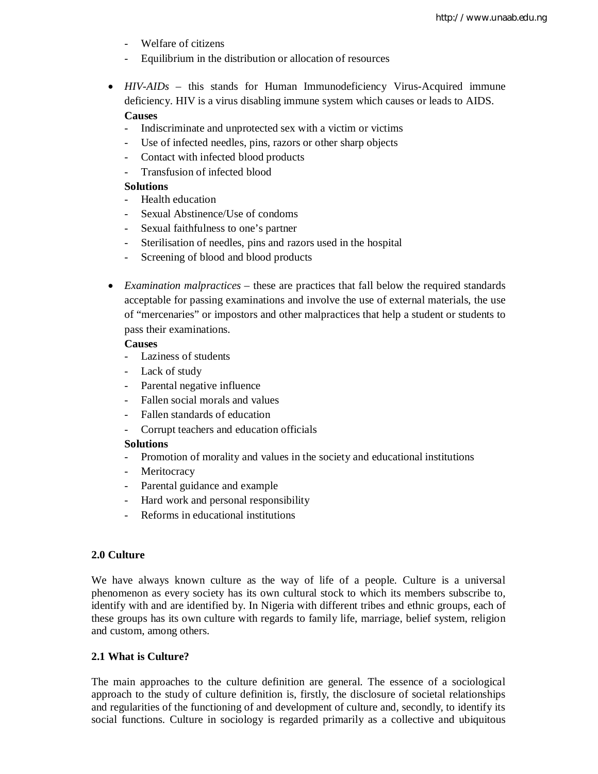- Welfare of citizens
- Equilibrium in the distribution or allocation of resources
- *HIV-AIDs* this stands for Human Immunodeficiency Virus-Acquired immune deficiency. HIV is a virus disabling immune system which causes or leads to AIDS. **Causes** 
	- Indiscriminate and unprotected sex with a victim or victims
	- Use of infected needles, pins, razors or other sharp objects
	- Contact with infected blood products
	- Transfusion of infected blood

## **Solutions**

- Health education
- Sexual Abstinence/Use of condoms
- Sexual faithfulness to one's partner
- Sterilisation of needles, pins and razors used in the hospital
- Screening of blood and blood products
- *Examination malpractices* these are practices that fall below the required standards acceptable for passing examinations and involve the use of external materials, the use of "mercenaries" or impostors and other malpractices that help a student or students to pass their examinations.

#### **Causes**

- Laziness of students
- Lack of study
- Parental negative influence
- Fallen social morals and values
- Fallen standards of education
- Corrupt teachers and education officials

#### **Solutions**

- Promotion of morality and values in the society and educational institutions
- Meritocracy
- Parental guidance and example
- Hard work and personal responsibility
- Reforms in educational institutions

#### **2.0 Culture**

We have always known culture as the way of life of a people. Culture is a universal phenomenon as every society has its own cultural stock to which its members subscribe to, identify with and are identified by. In Nigeria with different tribes and ethnic groups, each of these groups has its own culture with regards to family life, marriage, belief system, religion and custom, among others.

#### **2.1 What is Culture?**

The main approaches to the culture definition are general. The essence of a sociological approach to the study of culture definition is, firstly, the disclosure of societal relationships and regularities of the functioning of and development of culture and, secondly, to identify its social functions. Culture in sociology is regarded primarily as a collective and ubiquitous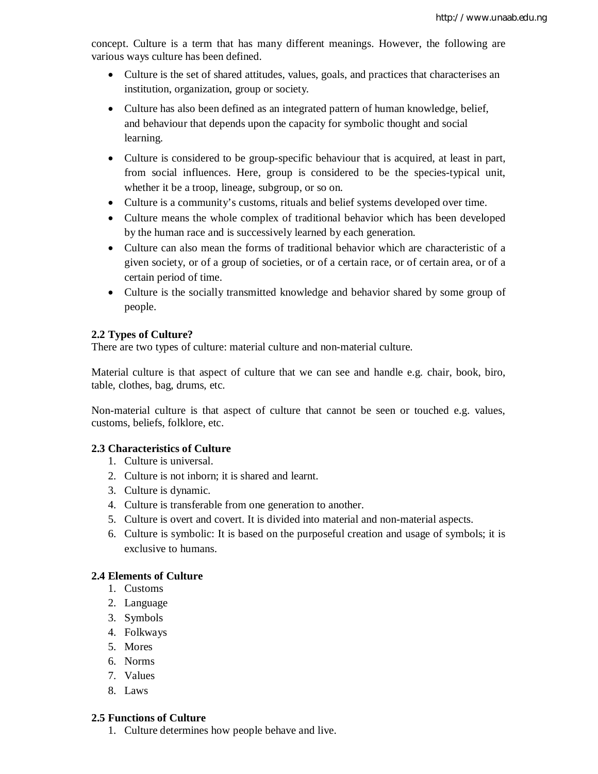concept. Culture is a term that has many different meanings. However, the following are various ways culture has been defined.

- Culture is the set of shared attitudes, values, goals, and practices that characterises an institution, organization, group or society.
- Culture has also been defined as an integrated pattern of human knowledge, belief, and behaviour that depends upon the capacity for symbolic thought and social learning.
- Culture is considered to be group-specific behaviour that is acquired, at least in part, from social influences. Here, group is considered to be the species-typical unit, whether it be a troop, lineage, subgroup, or so on.
- Culture is a community's customs, rituals and belief systems developed over time.
- Culture means the whole complex of traditional behavior which has been developed by the human race and is successively learned by each generation.
- Culture can also mean the forms of traditional behavior which are characteristic of a given society, or of a group of societies, or of a certain race, or of certain area, or of a certain period of time.
- Culture is the socially transmitted knowledge and behavior shared by some group of people.

## **2.2 Types of Culture?**

There are two types of culture: material culture and non-material culture.

Material culture is that aspect of culture that we can see and handle e.g. chair, book, biro, table, clothes, bag, drums, etc.

Non-material culture is that aspect of culture that cannot be seen or touched e.g. values, customs, beliefs, folklore, etc.

## **2.3 Characteristics of Culture**

- 1. Culture is universal.
- 2. Culture is not inborn; it is shared and learnt.
- 3. Culture is dynamic.
- 4. Culture is transferable from one generation to another.
- 5. Culture is overt and covert. It is divided into material and non-material aspects.
- 6. Culture is symbolic: It is based on the purposeful creation and usage of symbols; it is exclusive to humans.

## **2.4 Elements of Culture**

- 1. Customs
- 2. Language
- 3. Symbols
- 4. Folkways
- 5. Mores
- 6. Norms
- 7. Values
- 8. Laws

#### **2.5 Functions of Culture**

1. Culture determines how people behave and live.